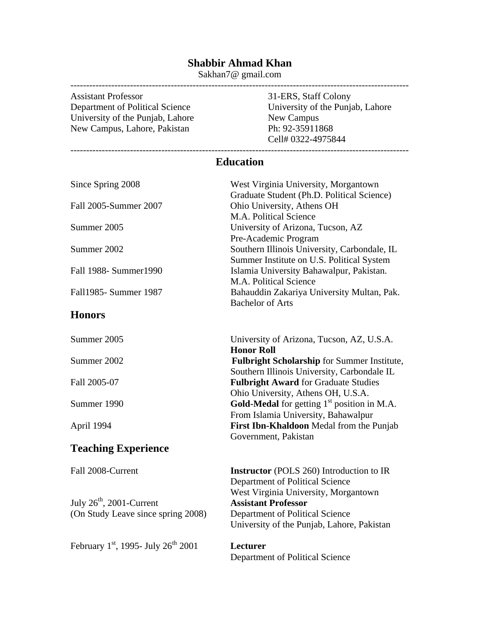## **Shabbir Ahmad Khan**

Sakhan7@ gmail.com

------------------------------------------------------------------------------------------------------------ Assistant Professor<br>
21-ERS, Staff Colony<br>
21-ERS, Staff Colony<br>
21-ERS, Staff Colony<br>
21-ERS, Staff Colony University of the Punjab, Lahore<br>
New Campus, Lahore, Pakistan<br>
Ph: 92-35911868 New Campus, Lahore, Pakistan

University of the Punjab, Lahore<br>New Campus Cell# 0322-4975844

## **Education**

| Since Spring 2008                       | West Virginia University, Morgantown                 |
|-----------------------------------------|------------------------------------------------------|
|                                         | Graduate Student (Ph.D. Political Science)           |
| Fall 2005-Summer 2007                   | Ohio University, Athens OH                           |
|                                         | M.A. Political Science                               |
| Summer 2005                             | University of Arizona, Tucson, AZ                    |
|                                         | Pre-Academic Program                                 |
| Summer 2002                             | Southern Illinois University, Carbondale, IL         |
|                                         | Summer Institute on U.S. Political System            |
| Fall 1988- Summer1990                   | Islamia University Bahawalpur, Pakistan.             |
|                                         | M.A. Political Science                               |
| Fall1985- Summer 1987                   | Bahauddin Zakariya University Multan, Pak.           |
|                                         | <b>Bachelor of Arts</b>                              |
| <b>Honors</b>                           |                                                      |
| Summer 2005                             | University of Arizona, Tucson, AZ, U.S.A.            |
|                                         | <b>Honor Roll</b>                                    |
| Summer 2002                             | <b>Fulbright Scholarship</b> for Summer Institute,   |
|                                         | Southern Illinois University, Carbondale IL          |
| Fall 2005-07                            | <b>Fulbright Award for Graduate Studies</b>          |
|                                         | Ohio University, Athens OH, U.S.A.                   |
| Summer 1990                             | <b>Gold-Medal</b> for getting $1st$ position in M.A. |
|                                         | From Islamia University, Bahawalpur                  |
| April 1994                              | First Ibn-Khaldoon Medal from the Punjab             |
|                                         | Government, Pakistan                                 |
|                                         |                                                      |
| <b>Teaching Experience</b>              |                                                      |
| Fall 2008-Current                       | <b>Instructor</b> (POLS 260) Introduction to IR      |
|                                         | Department of Political Science                      |
|                                         | West Virginia University, Morgantown                 |
| July $26th$ , 2001-Current              | <b>Assistant Professor</b>                           |
| (On Study Leave since spring 2008)      | Department of Political Science                      |
|                                         | University of the Punjab, Lahore, Pakistan           |
|                                         |                                                      |
| February 1st, 1995- July $26^{th}$ 2001 | <b>Lecturer</b>                                      |
|                                         | Department of Political Science                      |